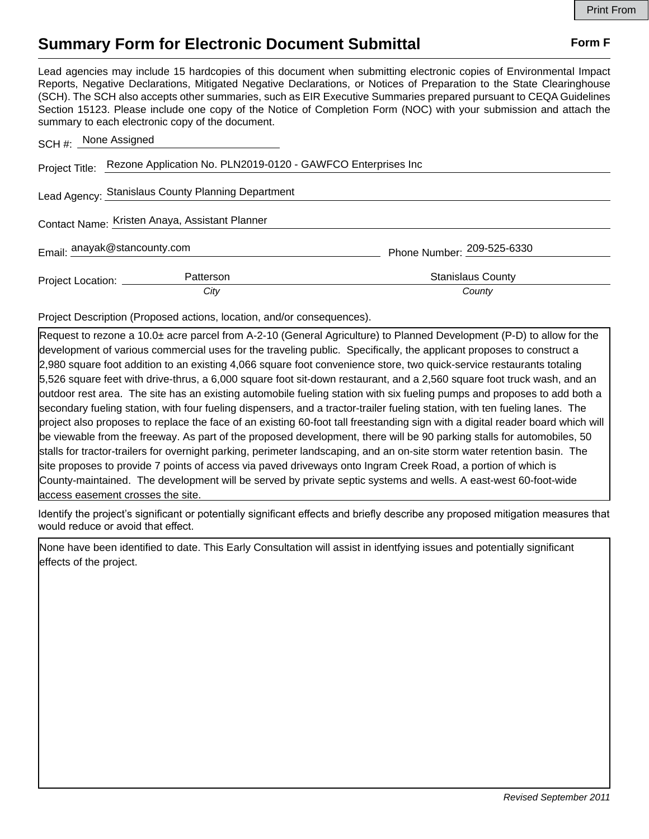## **Summary Form for Electronic Document Submittal Form F Form F**

Lead agencies may include 15 hardcopies of this document when submitting electronic copies of Environmental Impact Reports, Negative Declarations, Mitigated Negative Declarations, or Notices of Preparation to the State Clearinghouse (SCH). The SCH also accepts other summaries, such as EIR Executive Summaries prepared pursuant to CEQA Guidelines Section 15123. Please include one copy of the Notice of Completion Form (NOC) with your submission and attach the summary to each electronic copy of the document.

| SCH #: None Assigned                           |                                                                             |                            |
|------------------------------------------------|-----------------------------------------------------------------------------|----------------------------|
|                                                | Project Title: Rezone Application No. PLN2019-0120 - GAWFCO Enterprises Inc |                            |
|                                                | Lead Agency: Stanislaus County Planning Department                          |                            |
| Contact Name: Kristen Anaya, Assistant Planner |                                                                             |                            |
| Email: anayak@stancounty.com                   |                                                                             | Phone Number: 209-525-6330 |
| Project Location: _________                    | Patterson                                                                   | <b>Stanislaus County</b>   |
|                                                | City                                                                        | County                     |

Project Description (Proposed actions, location, and/or consequences).

Request to rezone a 10.0± acre parcel from A-2-10 (General Agriculture) to Planned Development (P-D) to allow for the development of various commercial uses for the traveling public. Specifically, the applicant proposes to construct a 2,980 square foot addition to an existing 4,066 square foot convenience store, two quick-service restaurants totaling 5,526 square feet with drive-thrus, a 6,000 square foot sit-down restaurant, and a 2,560 square foot truck wash, and an outdoor rest area. The site has an existing automobile fueling station with six fueling pumps and proposes to add both a secondary fueling station, with four fueling dispensers, and a tractor-trailer fueling station, with ten fueling lanes. The project also proposes to replace the face of an existing 60-foot tall freestanding sign with a digital reader board which will be viewable from the freeway. As part of the proposed development, there will be 90 parking stalls for automobiles, 50 stalls for tractor-trailers for overnight parking, perimeter landscaping, and an on-site storm water retention basin. The site proposes to provide 7 points of access via paved driveways onto Ingram Creek Road, a portion of which is County-maintained. The development will be served by private septic systems and wells. A east-west 60-foot-wide access easement crosses the site.

Identify the project's significant or potentially significant effects and briefly describe any proposed mitigation measures that would reduce or avoid that effect.

None have been identified to date. This Early Consultation will assist in identfying issues and potentially significant effects of the project.